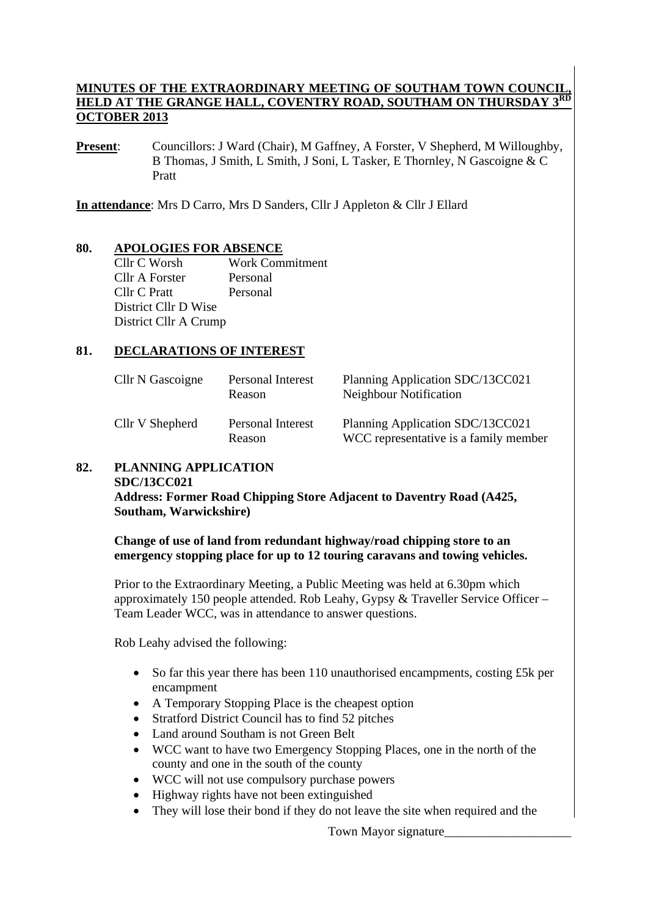### **MINUTES OF THE EXTRAORDINARY MEETING OF SOUTHAM TOWN COUNCIL, HELD AT THE GRANGE HALL, COVENTRY ROAD, SOUTHAM ON THURSDAY OCTOBER 2013**

**Present:** Councillors: J Ward (Chair), M Gaffney, A Forster, V Shepherd, M Willoughby, B Thomas, J Smith, L Smith, J Soni, L Tasker, E Thornley, N Gascoigne & C Pratt

**In attendance**: Mrs D Carro, Mrs D Sanders, Cllr J Appleton & Cllr J Ellard

#### **80. APOLOGIES FOR ABSENCE**

Cllr C Worsh Work Commitment Cllr A Forster Personal Cllr C Pratt Personal District Cllr D Wise District Cllr A Crump

#### **81. DECLARATIONS OF INTEREST**

| Cllr N Gascoigne | Personal Interest<br>Reason | Planning Application SDC/13CC021<br>Neighbour Notification                |
|------------------|-----------------------------|---------------------------------------------------------------------------|
| Cllr V Shepherd  | Personal Interest<br>Reason | Planning Application SDC/13CC021<br>WCC representative is a family member |

#### **82. PLANNING APPLICATION SDC/13CC021 Address: Former Road Chipping Store Adjacent to Daventry Road (A425, Southam, Warwickshire)**

#### **Change of use of land from redundant highway/road chipping store to an emergency stopping place for up to 12 touring caravans and towing vehicles.**

Prior to the Extraordinary Meeting, a Public Meeting was held at 6.30pm which approximately 150 people attended. Rob Leahy, Gypsy & Traveller Service Officer – Team Leader WCC, was in attendance to answer questions.

Rob Leahy advised the following:

- So far this year there has been 110 unauthorised encampments, costing £5k per encampment
- A Temporary Stopping Place is the cheapest option
- Stratford District Council has to find 52 pitches
- Land around Southam is not Green Belt
- WCC want to have two Emergency Stopping Places, one in the north of the county and one in the south of the county
- WCC will not use compulsory purchase powers
- Highway rights have not been extinguished
- They will lose their bond if they do not leave the site when required and the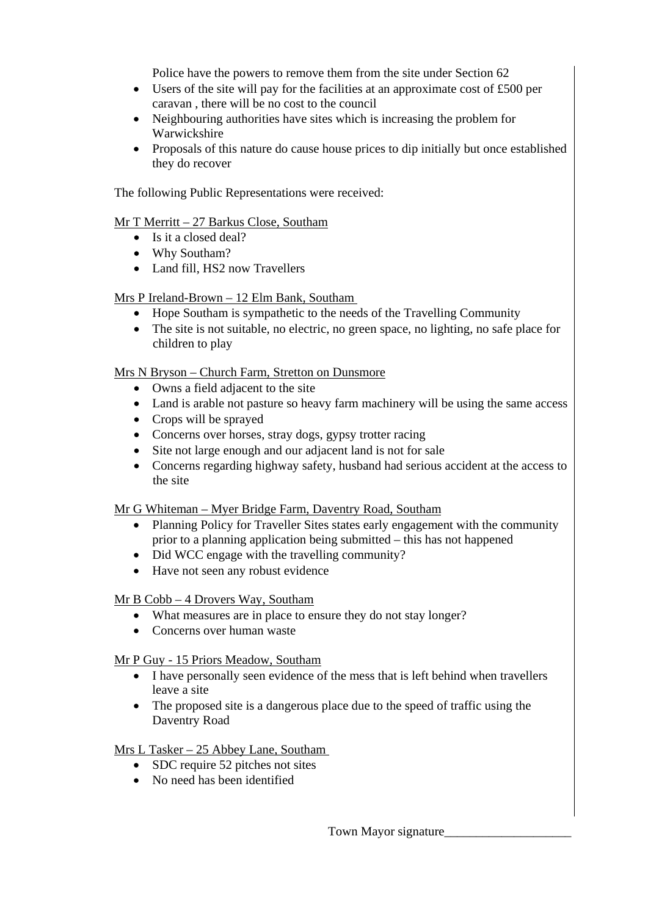Police have the powers to remove them from the site under Section 62

- Users of the site will pay for the facilities at an approximate cost of £500 per caravan , there will be no cost to the council
- Neighbouring authorities have sites which is increasing the problem for Warwickshire
- Proposals of this nature do cause house prices to dip initially but once established they do recover

The following Public Representations were received:

### Mr T Merritt – 27 Barkus Close, Southam

- Is it a closed deal?
- Why Southam?
- Land fill, HS2 now Travellers

# Mrs P Ireland-Brown – 12 Elm Bank, Southam

- Hope Southam is sympathetic to the needs of the Travelling Community
- The site is not suitable, no electric, no green space, no lighting, no safe place for children to play

### Mrs N Bryson – Church Farm, Stretton on Dunsmore

- Owns a field adjacent to the site
- Land is arable not pasture so heavy farm machinery will be using the same access
- Crops will be sprayed
- Concerns over horses, stray dogs, gypsy trotter racing
- Site not large enough and our adjacent land is not for sale
- Concerns regarding highway safety, husband had serious accident at the access to the site

# Mr G Whiteman – Myer Bridge Farm, Daventry Road, Southam

- Planning Policy for Traveller Sites states early engagement with the community prior to a planning application being submitted – this has not happened
- Did WCC engage with the travelling community?
- Have not seen any robust evidence

# Mr B Cobb – 4 Drovers Way, Southam

- What measures are in place to ensure they do not stay longer?
- Concerns over human waste

# Mr P Guy - 15 Priors Meadow, Southam

- I have personally seen evidence of the mess that is left behind when travellers leave a site
- The proposed site is a dangerous place due to the speed of traffic using the Daventry Road

# Mrs L Tasker – 25 Abbey Lane, Southam

- SDC require 52 pitches not sites
- No need has been identified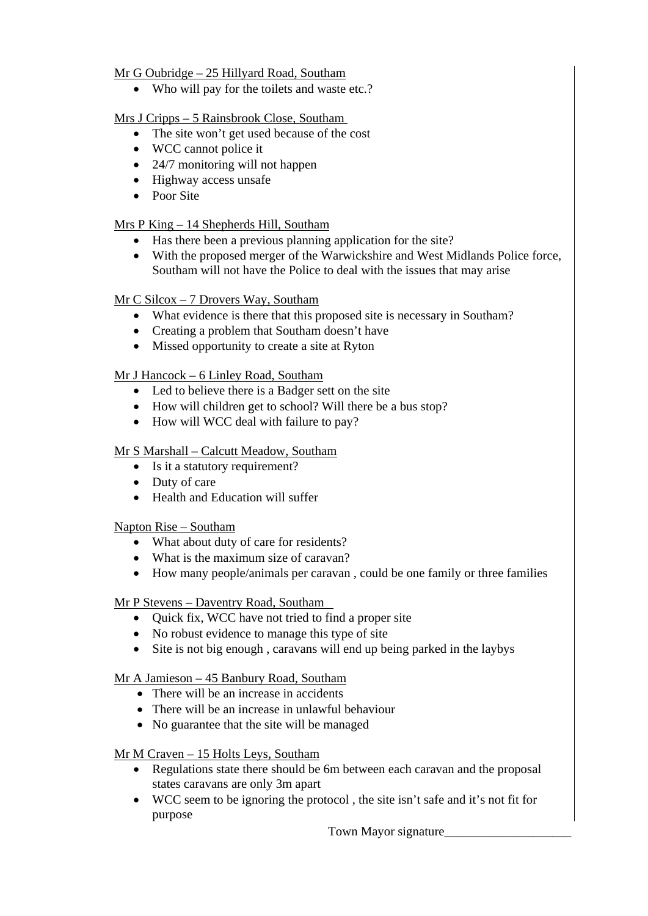# Mr G Oubridge – 25 Hillyard Road, Southam

• Who will pay for the toilets and waste etc.?

# Mrs J Cripps – 5 Rainsbrook Close, Southam

- The site won't get used because of the cost
- WCC cannot police it
- 24/7 monitoring will not happen
- Highway access unsafe
- Poor Site

# Mrs P King - 14 Shepherds Hill, Southam

- Has there been a previous planning application for the site?
- With the proposed merger of the Warwickshire and West Midlands Police force, Southam will not have the Police to deal with the issues that may arise

# Mr C Silcox – 7 Drovers Way, Southam

- What evidence is there that this proposed site is necessary in Southam?
- Creating a problem that Southam doesn't have
- Missed opportunity to create a site at Ryton

# Mr J Hancock – 6 Linley Road, Southam

- Led to believe there is a Badger sett on the site
- How will children get to school? Will there be a bus stop?
- How will WCC deal with failure to pay?

# Mr S Marshall – Calcutt Meadow, Southam

- Is it a statutory requirement?
- Duty of care
- Health and Education will suffer

# Napton Rise – Southam

- What about duty of care for residents?
- What is the maximum size of caravan?
- How many people/animals per caravan , could be one family or three families

# Mr P Stevens - Daventry Road, Southam

- Ouick fix, WCC have not tried to find a proper site
- No robust evidence to manage this type of site
- Site is not big enough, caravans will end up being parked in the laybys

# Mr A Jamieson – 45 Banbury Road, Southam

- There will be an increase in accidents
- There will be an increase in unlawful behaviour
- No guarantee that the site will be managed

# Mr M Craven – 15 Holts Leys, Southam

- Regulations state there should be 6m between each caravan and the proposal states caravans are only 3m apart
- WCC seem to be ignoring the protocol , the site isn't safe and it's not fit for purpose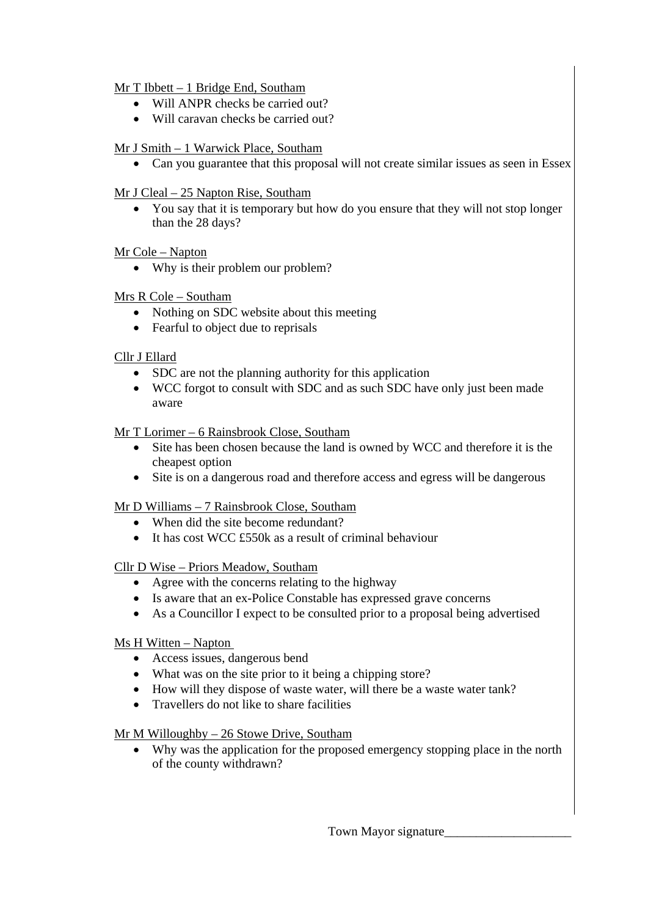## Mr T Ibbett – 1 Bridge End, Southam

- Will ANPR checks be carried out?
- Will caravan checks be carried out?

### Mr J Smith – 1 Warwick Place, Southam

• Can you guarantee that this proposal will not create similar issues as seen in Essex

#### Mr J Cleal – 25 Napton Rise, Southam

• You say that it is temporary but how do you ensure that they will not stop longer than the 28 days?

### Mr Cole – Napton

• Why is their problem our problem?

### Mrs R Cole – Southam

- Nothing on SDC website about this meeting
- Fearful to object due to reprisals

### Cllr J Ellard

- SDC are not the planning authority for this application
- WCC forgot to consult with SDC and as such SDC have only just been made aware

### Mr T Lorimer – 6 Rainsbrook Close, Southam

- Site has been chosen because the land is owned by WCC and therefore it is the cheapest option
- Site is on a dangerous road and therefore access and egress will be dangerous

#### Mr D Williams – 7 Rainsbrook Close, Southam

- When did the site become redundant?
- It has cost WCC £550k as a result of criminal behaviour

#### Cllr D Wise – Priors Meadow, Southam

- Agree with the concerns relating to the highway
- Is aware that an ex-Police Constable has expressed grave concerns
- As a Councillor I expect to be consulted prior to a proposal being advertised

#### Ms H Witten – Napton

- Access issues, dangerous bend
- What was on the site prior to it being a chipping store?
- How will they dispose of waste water, will there be a waste water tank?
- Travellers do not like to share facilities

#### Mr M Willoughby – 26 Stowe Drive, Southam

• Why was the application for the proposed emergency stopping place in the north of the county withdrawn?